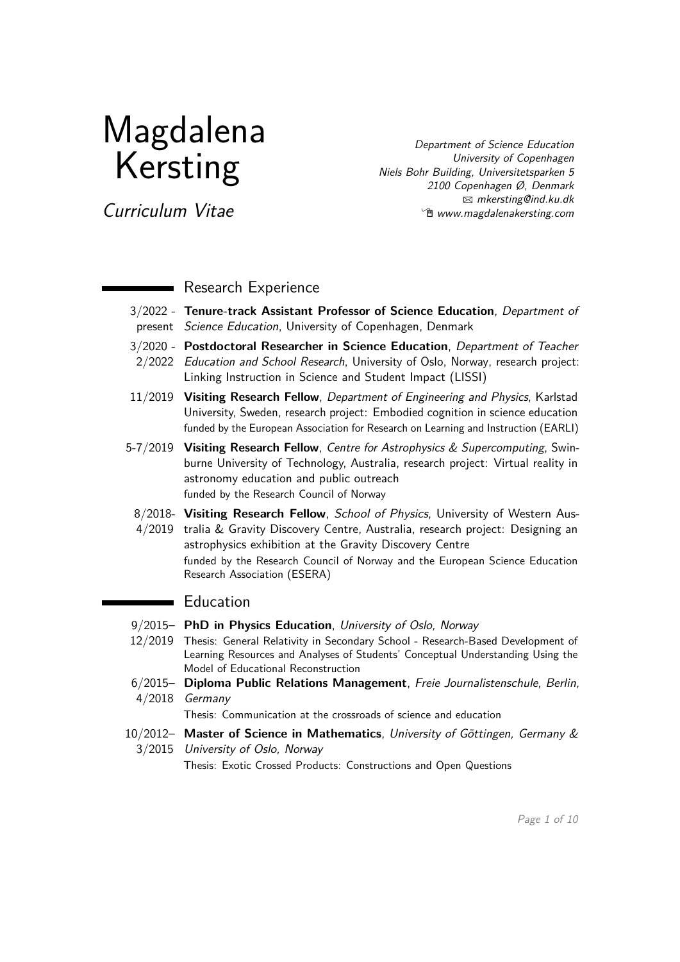# Magdalena Kersting

Department of Science Education University of Copenhagen Niels Bohr Building, Universitetsparken 5 2100 Copenhagen Ø, Denmark  $\boxtimes$  [mkersting@ind.ku.dk](mailto:mkersting@ind.ku.dk) **<sup>***n***g</mark> [www.magdalenakersting.com](https://www.magdalenakersting.com)**</sup>

Curriculum Vitae

## Research Experience

- 3/2022 **Tenure-track Assistant Professor of Science Education**, Department of present Science Education, University of Copenhagen, Denmark
- 3/2020 **Postdoctoral Researcher in Science Education**, Department of Teacher 2/2022 Education and School Research, University of Oslo, Norway, research project: Linking Instruction in Science and Student Impact (LISSI)
- 11/2019 **Visiting Research Fellow**, Department of Engineering and Physics, Karlstad University, Sweden, research project: Embodied cognition in science education funded by the European Association for Research on Learning and Instruction (EARLI)
- 5-7/2019 **Visiting Research Fellow**, Centre for Astrophysics & Supercomputing, Swinburne University of Technology, Australia, research project: Virtual reality in astronomy education and public outreach funded by the Research Council of Norway
- 8/2018- **Visiting Research Fellow**, School of Physics, University of Western Aus-4/2019 tralia & Gravity Discovery Centre, Australia, research project: Designing an astrophysics exhibition at the Gravity Discovery Centre funded by the Research Council of Norway and the European Science Education Research Association (ESERA)

# Education

 $\overline{\phantom{0}}$ 

- 9/2015– **PhD in Physics Education**, University of Oslo, Norway
- 12/2019 Thesis: General Relativity in Secondary School Research-Based Development of Learning Resources and Analyses of Students' Conceptual Understanding Using the Model of Educational Reconstruction
- 6/2015– **Diploma Public Relations Management**, Freie Journalistenschule, Berlin, 4/2018 Germany

Thesis: Communication at the crossroads of science and education

10/2012– **Master of Science in Mathematics**, University of Göttingen, Germany & 3/2015 University of Oslo, Norway

Thesis: Exotic Crossed Products: Constructions and Open Questions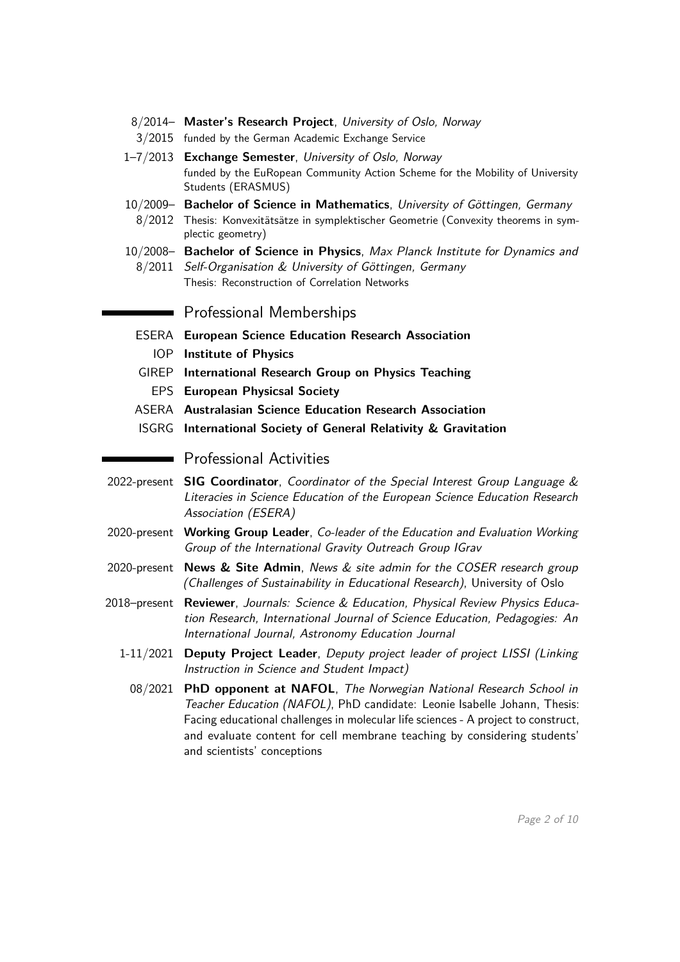- 8/2014– **Master's Research Project**, University of Oslo, Norway
- 3/2015 funded by the German Academic Exchange Service
- 1–7/2013 **Exchange Semester**, University of Oslo, Norway funded by the EuRopean Community Action Scheme for the Mobility of University Students (ERASMUS)
- 10/2009– **Bachelor of Science in Mathematics**, University of Göttingen, Germany
- 8/2012 Thesis: Konvexitätsätze in symplektischer Geometrie (Convexity theorems in symplectic geometry)
- 10/2008– **Bachelor of Science in Physics**, Max Planck Institute for Dynamics and 8/2011 Self-Organisation & University of Göttingen, Germany Thesis: Reconstruction of Correlation Networks

**Professional Memberships** 

- ESERA **European Science Education Research Association**
	- IOP **Institute of Physics**
- GIREP **International Research Group on Physics Teaching**
- EPS **European Physicsal Society**
- ASERA **Australasian Science Education Research Association**
- ISGRG **International Society of General Relativity & Gravitation**

### **Professional Activities**

- 2022-present **SIG Coordinator**, Coordinator of the Special Interest Group Language & Literacies in Science Education of the European Science Education Research Association (ESERA)
- 2020-present **Working Group Leader**, Co-leader of the Education and Evaluation Working Group of the International Gravity Outreach Group IGrav
- 2020-present **News & Site Admin**, News & site admin for the COSER research group (Challenges of Sustainability in Educational Research), University of Oslo
- 2018–present **Reviewer**, Journals: Science & Education, Physical Review Physics Education Research, International Journal of Science Education, Pedagogies: An International Journal, Astronomy Education Journal
	- 1-11/2021 **Deputy Project Leader**, Deputy project leader of project LISSI (Linking Instruction in Science and Student Impact)
		- 08/2021 **PhD opponent at NAFOL**, The Norwegian National Research School in Teacher Education (NAFOL), PhD candidate: Leonie Isabelle Johann, Thesis: Facing educational challenges in molecular life sciences - A project to construct, and evaluate content for cell membrane teaching by considering students' and scientists' conceptions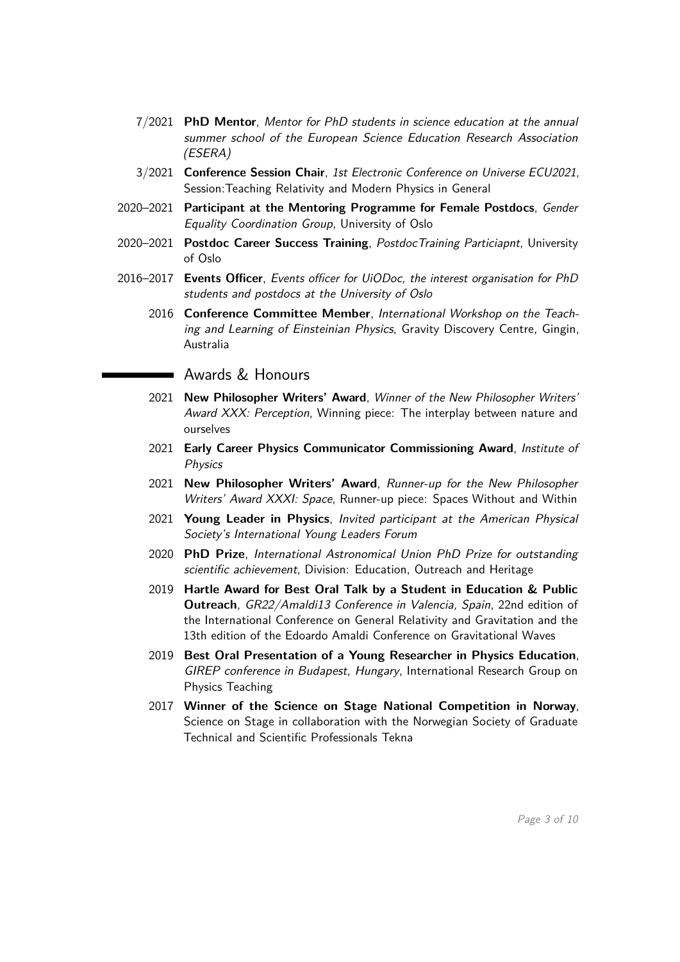- 7/2021 **PhD Mentor**, Mentor for PhD students in science education at the annual summer school of the European Science Education Research Association (ESERA)
- 3/2021 **Conference Session Chair**, 1st Electronic Conference on Universe ECU2021, Session:Teaching Relativity and Modern Physics in General
- 2020–2021 **Participant at the Mentoring Programme for Female Postdocs**, Gender Equality Coordination Group, University of Oslo
- 2020–2021 **Postdoc Career Success Training**, PostdocTraining Particiapnt, University of Oslo
- 2016–2017 **Events Officer**, Events officer for UiODoc, the interest organisation for PhD students and postdocs at the University of Oslo
	- 2016 **Conference Committee Member**, International Workshop on the Teaching and Learning of Einsteinian Physics, Gravity Discovery Centre, Gingin, Australia

Awards & Honours

- 2021 **New Philosopher Writers' Award**, Winner of the New Philosopher Writers' Award XXX: Perception, Winning piece: The interplay between nature and ourselves
- 2021 **Early Career Physics Communicator Commissioning Award**, Institute of Physics
- 2021 **New Philosopher Writers' Award**, Runner-up for the New Philosopher Writers' Award XXXI: Space, Runner-up piece: Spaces Without and Within
- 2021 **Young Leader in Physics**, Invited participant at the American Physical Society's International Young Leaders Forum
- 2020 **PhD Prize**, International Astronomical Union PhD Prize for outstanding scientific achievement, Division: Education, Outreach and Heritage
- 2019 **Hartle Award for Best Oral Talk by a Student in Education & Public Outreach**, GR22/Amaldi13 Conference in Valencia, Spain, 22nd edition of the International Conference on General Relativity and Gravitation and the 13th edition of the Edoardo Amaldi Conference on Gravitational Waves
- 2019 **Best Oral Presentation of a Young Researcher in Physics Education**, GIREP conference in Budapest, Hungary, International Research Group on Physics Teaching
- 2017 **Winner of the Science on Stage National Competition in Norway**, Science on Stage in collaboration with the Norwegian Society of Graduate Technical and Scientific Professionals Tekna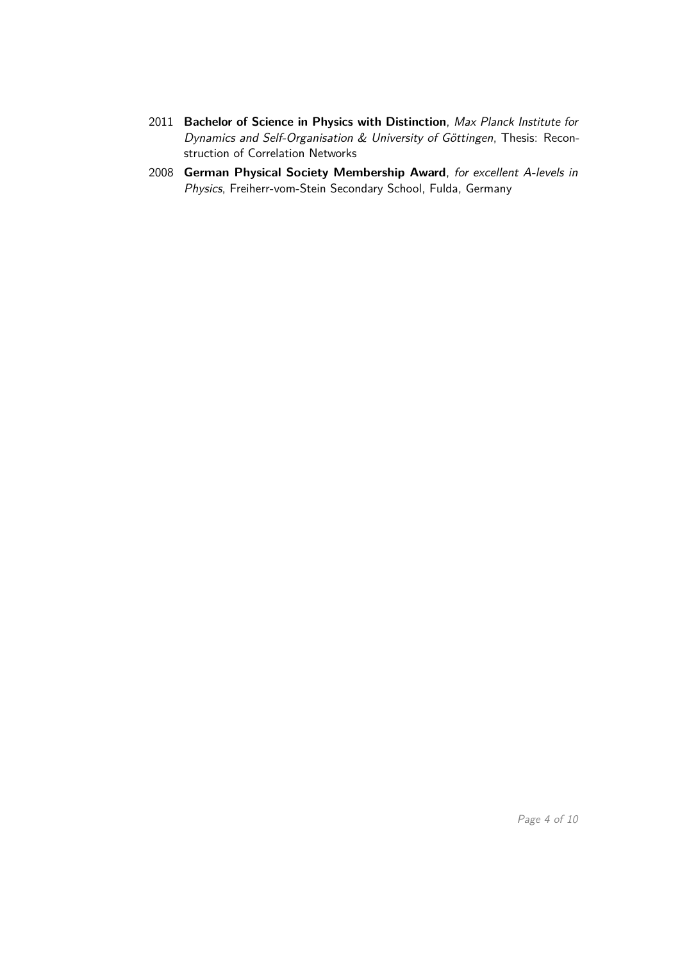- 2011 **Bachelor of Science in Physics with Distinction**, Max Planck Institute for Dynamics and Self-Organisation & University of Göttingen, Thesis: Reconstruction of Correlation Networks
- 2008 **German Physical Society Membership Award**, for excellent A-levels in Physics, Freiherr-vom-Stein Secondary School, Fulda, Germany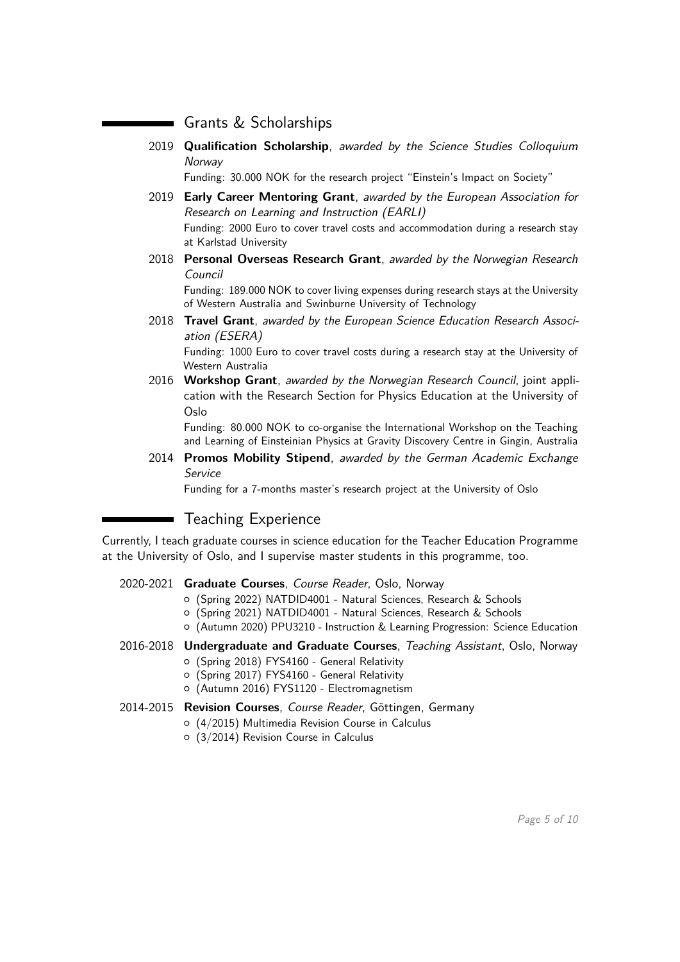## Grants & Scholarships

2019 **Qualification Scholarship**, awarded by the Science Studies Colloquium **Norway** 

Funding: 30.000 NOK for the research project "Einstein's Impact on Society"

- 2019 **Early Career Mentoring Grant**, awarded by the European Association for Research on Learning and Instruction (EARLI) Funding: 2000 Euro to cover travel costs and accommodation during a research stay at Karlstad University
- 2018 **Personal Overseas Research Grant**, awarded by the Norwegian Research Council

Funding: 189.000 NOK to cover living expenses during research stays at the University of Western Australia and Swinburne University of Technology

2018 **Travel Grant**, awarded by the European Science Education Research Association (ESERA)

Funding: 1000 Euro to cover travel costs during a research stay at the University of Western Australia

2016 **Workshop Grant**, awarded by the Norwegian Research Council, joint application with the Research Section for Physics Education at the University of Oslo

Funding: 80.000 NOK to co-organise the International Workshop on the Teaching and Learning of Einsteinian Physics at Gravity Discovery Centre in Gingin, Australia

2014 **Promos Mobility Stipend**, awarded by the German Academic Exchange Service

Funding for a 7-months master's research project at the University of Oslo

## Teaching Experience

Currently, I teach graduate courses in science education for the Teacher Education Programme at the University of Oslo, and I supervise master students in this programme, too.

#### 2020-2021 **Graduate Courses**, Course Reader, Oslo, Norway

- { (Spring 2022) NATDID4001 Natural Sciences, Research & Schools
- { (Spring 2021) NATDID4001 Natural Sciences, Research & Schools
- { (Autumn 2020) PPU3210 Instruction & Learning Progression: Science Education

#### 2016-2018 **Undergraduate and Graduate Courses**, Teaching Assistant, Oslo, Norway

- { (Spring 2018) FYS4160 General Relativity
- { (Spring 2017) FYS4160 General Relativity
- { (Autumn 2016) FYS1120 Electromagnetism
- 2014-2015 **Revision Courses**, Course Reader, Göttingen, Germany
	- { (4/2015) Multimedia Revision Course in Calculus
	- { (3/2014) Revision Course in Calculus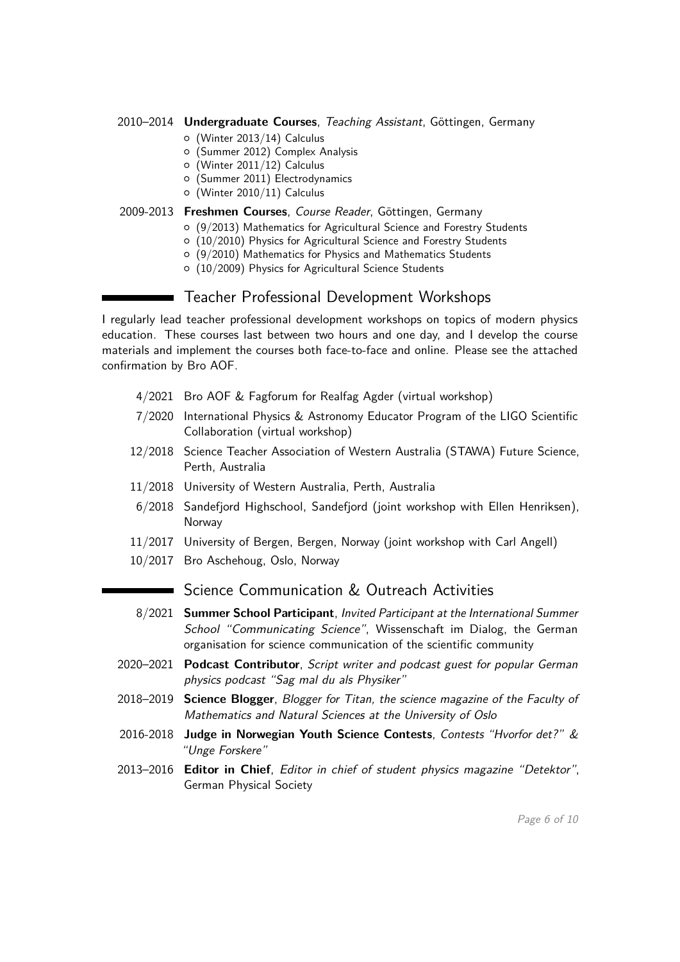#### 2010–2014 **Undergraduate Courses**, Teaching Assistant, Göttingen, Germany

- { (Winter 2013/14) Calculus
- { (Summer 2012) Complex Analysis
- $\circ$  (Winter 2011/12) Calculus
- { (Summer 2011) Electrodynamics
- $\circ$  (Winter 2010/11) Calculus

#### 2009-2013 **Freshmen Courses**, Course Reader, Göttingen, Germany

- { (9/2013) Mathematics for Agricultural Science and Forestry Students
- { (10/2010) Physics for Agricultural Science and Forestry Students
- { (9/2010) Mathematics for Physics and Mathematics Students
- $O$  (10/2009) Physics for Agricultural Science Students

## Teacher Professional Development Workshops

I regularly lead teacher professional development workshops on topics of modern physics education. These courses last between two hours and one day, and I develop the course materials and implement the courses both face-to-face and online. Please see the attached confirmation by Bro AOF.

- 4/2021 Bro AOF & Fagforum for Realfag Agder (virtual workshop)
- 7/2020 International Physics & Astronomy Educator Program of the LIGO Scientific Collaboration (virtual workshop)
- 12/2018 Science Teacher Association of Western Australia (STAWA) Future Science, Perth, Australia
- 11/2018 University of Western Australia, Perth, Australia
- 6/2018 Sandefjord Highschool, Sandefjord (joint workshop with Ellen Henriksen), **Norway**
- 11/2017 University of Bergen, Bergen, Norway (joint workshop with Carl Angell)
- 10/2017 Bro Aschehoug, Oslo, Norway

## ■ Science Communication & Outreach Activities

- 8/2021 **Summer School Participant**, Invited Participant at the International Summer School "Communicating Science", Wissenschaft im Dialog, the German organisation for science communication of the scientific community
- 2020–2021 **Podcast Contributor**, Script writer and podcast guest for popular German physics podcast "Sag mal du als Physiker"
- 2018–2019 **Science Blogger**, Blogger for Titan, the science magazine of the Faculty of Mathematics and Natural Sciences at the University of Oslo
- 2016-2018 **Judge in Norwegian Youth Science Contests**, Contests "Hvorfor det?" & "Unge Forskere"
- 2013–2016 **Editor in Chief**, Editor in chief of student physics magazine "Detektor", German Physical Society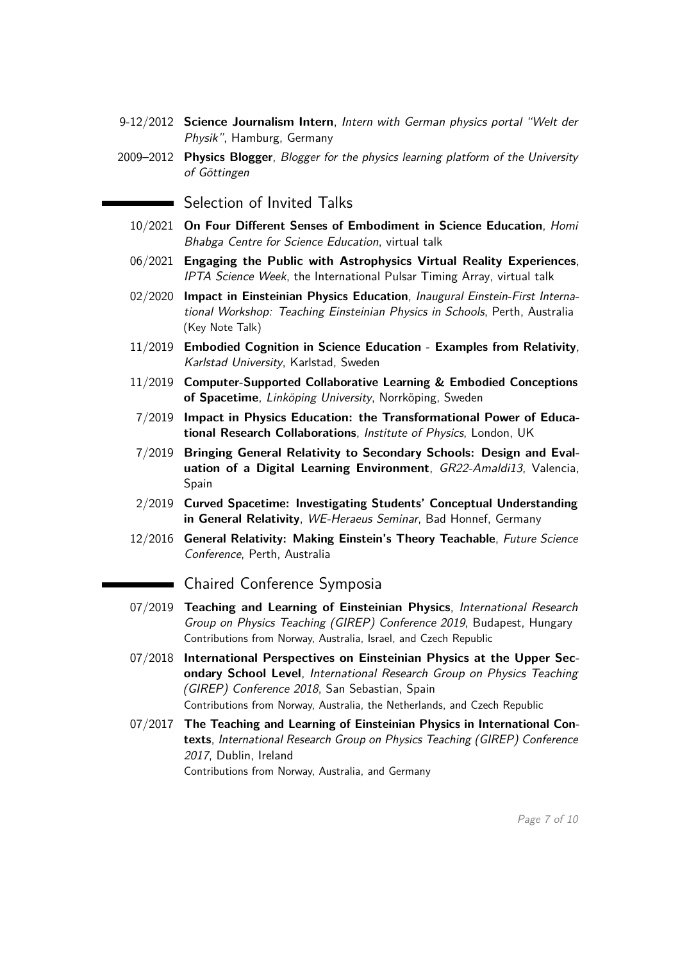- 9-12/2012 **Science Journalism Intern**, Intern with German physics portal "Welt der Physik", Hamburg, Germany
- 2009–2012 **Physics Blogger**, Blogger for the physics learning platform of the University of Göttingen

 $\blacksquare$  Selection of Invited Talks

- 10/2021 **On Four Different Senses of Embodiment in Science Education**, Homi Bhabga Centre for Science Education, virtual talk
- 06/2021 **Engaging the Public with Astrophysics Virtual Reality Experiences**, IPTA Science Week, the International Pulsar Timing Array, virtual talk
- 02/2020 **Impact in Einsteinian Physics Education**, Inaugural Einstein-First International Workshop: Teaching Einsteinian Physics in Schools, Perth, Australia (Key Note Talk)
- 11/2019 **Embodied Cognition in Science Education Examples from Relativity**, Karlstad University, Karlstad, Sweden
- 11/2019 **Computer-Supported Collaborative Learning & Embodied Conceptions of Spacetime**, Linköping University, Norrköping, Sweden
- 7/2019 **Impact in Physics Education: the Transformational Power of Educational Research Collaborations**, Institute of Physics, London, UK
- 7/2019 **Bringing General Relativity to Secondary Schools: Design and Evaluation of a Digital Learning Environment**, GR22-Amaldi13, Valencia, Spain
- 2/2019 **Curved Spacetime: Investigating Students' Conceptual Understanding in General Relativity**, WE-Heraeus Seminar, Bad Honnef, Germany
- 12/2016 **General Relativity: Making Einstein's Theory Teachable**, Future Science Conference, Perth, Australia

Chaired Conference Symposia

- 07/2019 **Teaching and Learning of Einsteinian Physics**, International Research Group on Physics Teaching (GIREP) Conference 2019, Budapest, Hungary Contributions from Norway, Australia, Israel, and Czech Republic
- 07/2018 **International Perspectives on Einsteinian Physics at the Upper Secondary School Level**, International Research Group on Physics Teaching (GIREP) Conference 2018, San Sebastian, Spain Contributions from Norway, Australia, the Netherlands, and Czech Republic
- 07/2017 **The Teaching and Learning of Einsteinian Physics in International Contexts**, International Research Group on Physics Teaching (GIREP) Conference 2017, Dublin, Ireland Contributions from Norway, Australia, and Germany

Page 7 of [10](#page-9-0)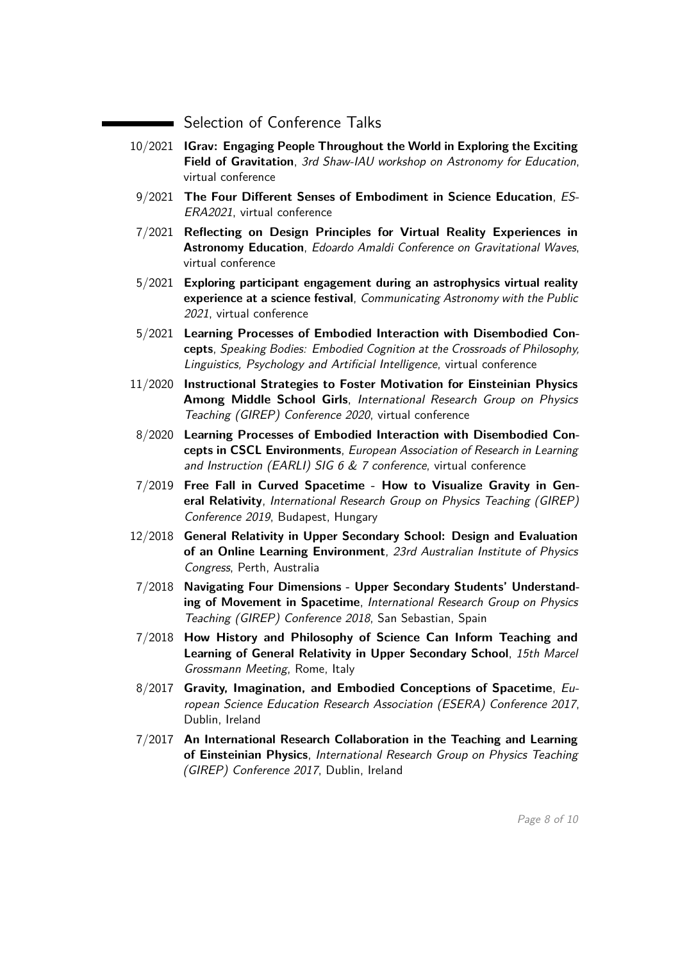Selection of Conference Talks

- 10/2021 **IGrav: Engaging People Throughout the World in Exploring the Exciting Field of Gravitation**, 3rd Shaw-IAU workshop on Astronomy for Education, virtual conference
- 9/2021 **The Four Different Senses of Embodiment in Science Education**, ES-ERA2021, virtual conference
- 7/2021 **Reflecting on Design Principles for Virtual Reality Experiences in Astronomy Education**, Edoardo Amaldi Conference on Gravitational Waves, virtual conference
- 5/2021 **Exploring participant engagement during an astrophysics virtual reality experience at a science festival**, Communicating Astronomy with the Public 2021, virtual conference
- 5/2021 **Learning Processes of Embodied Interaction with Disembodied Concepts**, Speaking Bodies: Embodied Cognition at the Crossroads of Philosophy, Linguistics, Psychology and Artificial Intelligence, virtual conference
- 11/2020 **Instructional Strategies to Foster Motivation for Einsteinian Physics Among Middle School Girls**, International Research Group on Physics Teaching (GIREP) Conference 2020, virtual conference
- 8/2020 **Learning Processes of Embodied Interaction with Disembodied Concepts in CSCL Environments**, European Association of Research in Learning and Instruction (EARLI) SIG 6  $&$  7 conference, virtual conference
- 7/2019 **Free Fall in Curved Spacetime How to Visualize Gravity in General Relativity**, International Research Group on Physics Teaching (GIREP) Conference 2019, Budapest, Hungary
- 12/2018 **General Relativity in Upper Secondary School: Design and Evaluation of an Online Learning Environment**, 23rd Australian Institute of Physics Congress, Perth, Australia
- 7/2018 **Navigating Four Dimensions Upper Secondary Students' Understanding of Movement in Spacetime**, International Research Group on Physics Teaching (GIREP) Conference 2018, San Sebastian, Spain
- 7/2018 **How History and Philosophy of Science Can Inform Teaching and Learning of General Relativity in Upper Secondary School**, 15th Marcel Grossmann Meeting, Rome, Italy
- 8/2017 **Gravity, Imagination, and Embodied Conceptions of Spacetime**, European Science Education Research Association (ESERA) Conference 2017, Dublin, Ireland
- 7/2017 **An International Research Collaboration in the Teaching and Learning of Einsteinian Physics**, International Research Group on Physics Teaching (GIREP) Conference 2017, Dublin, Ireland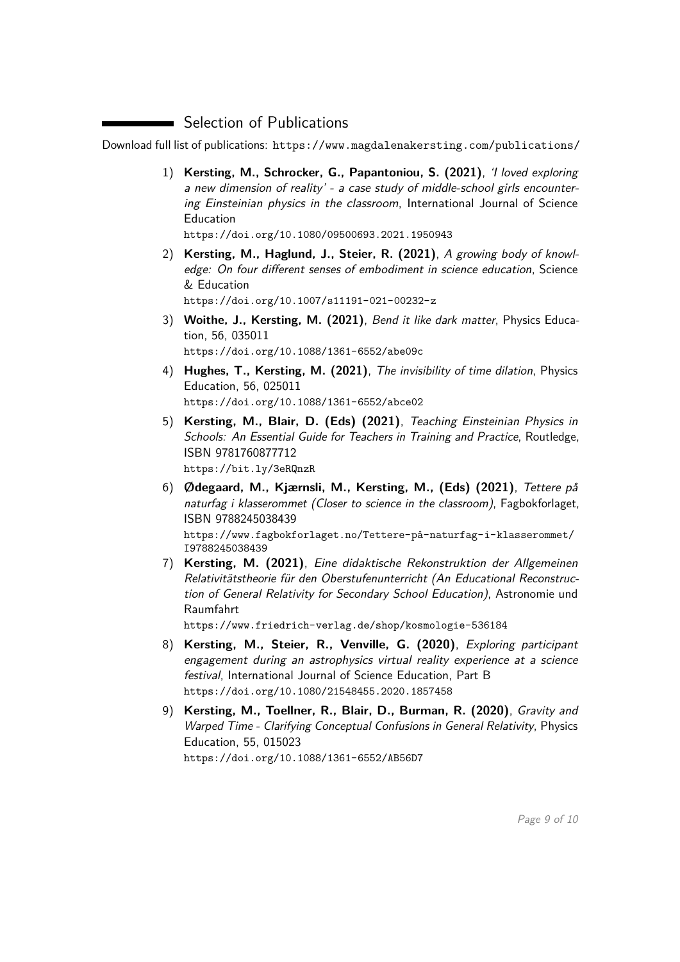## **Selection of Publications**

Download full list of publications: <https://www.magdalenakersting.com/publications/>

1) **Kersting, M., Schrocker, G., Papantoniou, S. (2021)**, 'I loved exploring a new dimension of reality' - a case study of middle-school girls encountering Einsteinian physics in the classroom, International Journal of Science Education

<https://doi.org/10.1080/09500693.2021.1950943>

- 2) **Kersting, M., Haglund, J., Steier, R. (2021)**, A growing body of knowledge: On four different senses of embodiment in science education, Science & Education <https://doi.org/10.1007/s11191-021-00232-z>
- 3) **Woithe, J., Kersting, M. (2021)**, Bend it like dark matter, Physics Education, 56, 035011 <https://doi.org/10.1088/1361-6552/abe09c>
- 4) **Hughes, T., Kersting, M. (2021)**, The invisibility of time dilation, Physics Education, 56, 025011 <https://doi.org/10.1088/1361-6552/abce02>
- 5) **Kersting, M., Blair, D. (Eds) (2021)**, Teaching Einsteinian Physics in Schools: An Essential Guide for Teachers in Training and Practice, Routledge, ISBN 9781760877712 <https://bit.ly/3eRQnzR>
- 6) **Ødegaard, M., Kjærnsli, M., Kersting, M., (Eds) (2021)**, Tettere på naturfag i klasserommet (Closer to science in the classroom), Fagbokforlaget, ISBN 9788245038439

[https://www.fagbokforlaget.no/Tettere-på-naturfag-i-klasserommet/](https://www.fagbokforlaget.no/Tettere-p�-naturfag-i-klasserommet/I9788245038439) [I9788245038439](https://www.fagbokforlaget.no/Tettere-p�-naturfag-i-klasserommet/I9788245038439)

7) **Kersting, M. (2021)**, Eine didaktische Rekonstruktion der Allgemeinen Relativitätstheorie für den Oberstufenunterricht (An Educational Reconstruction of General Relativity for Secondary School Education), Astronomie und Raumfahrt

<https://www.friedrich-verlag.de/shop/kosmologie-536184>

- 8) **Kersting, M., Steier, R., Venville, G. (2020)**, Exploring participant engagement during an astrophysics virtual reality experience at a science festival, International Journal of Science Education, Part B <https://doi.org/10.1080/21548455.2020.1857458>
- 9) **Kersting, M., Toellner, R., Blair, D., Burman, R. (2020)**, Gravity and Warped Time - Clarifying Conceptual Confusions in General Relativity, Physics Education, 55, 015023 <https://doi.org/10.1088/1361-6552/AB56D7>

Page 9 of [10](#page-9-0)